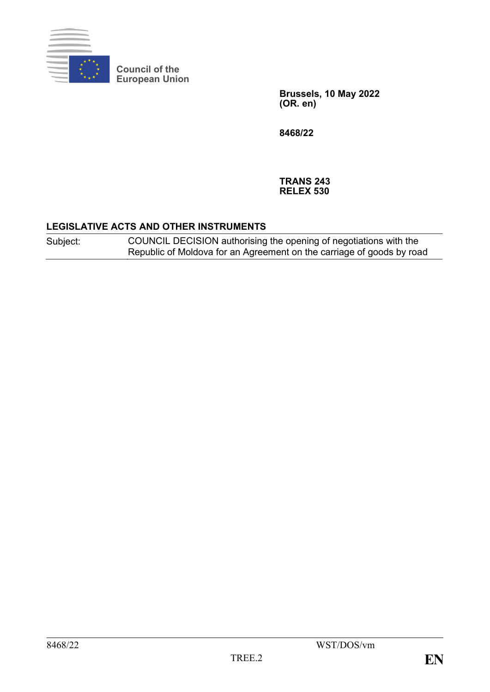

**Council of the European Union**

> **Brussels, 10 May 2022 (OR. en)**

**8468/22**

**TRANS 243 RELEX 530**

#### **LEGISLATIVE ACTS AND OTHER INSTRUMENTS**

Subject: COUNCIL DECISION authorising the opening of negotiations with the Republic of Moldova for an Agreement on the carriage of goods by road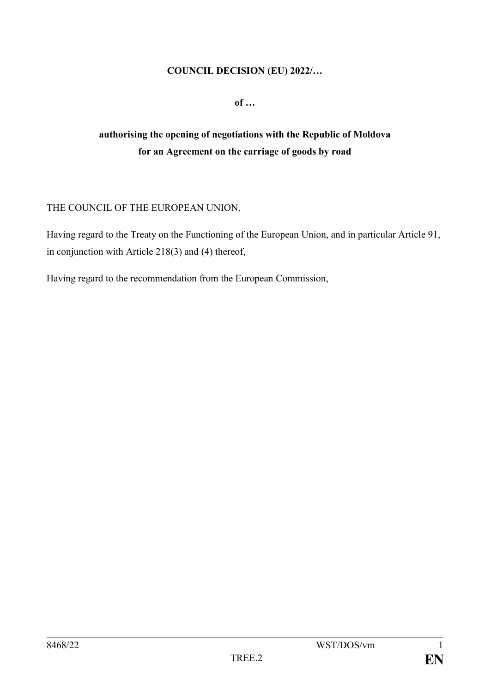#### **COUNCIL DECISION (EU) 2022/…**

**of …**

# **authorising the opening of negotiations with the Republic of Moldova for an Agreement on the carriage of goods by road**

## THE COUNCIL OF THE EUROPEAN UNION,

Having regard to the Treaty on the Functioning of the European Union, and in particular Article 91, in conjunction with Article 218(3) and (4) thereof,

Having regard to the recommendation from the European Commission,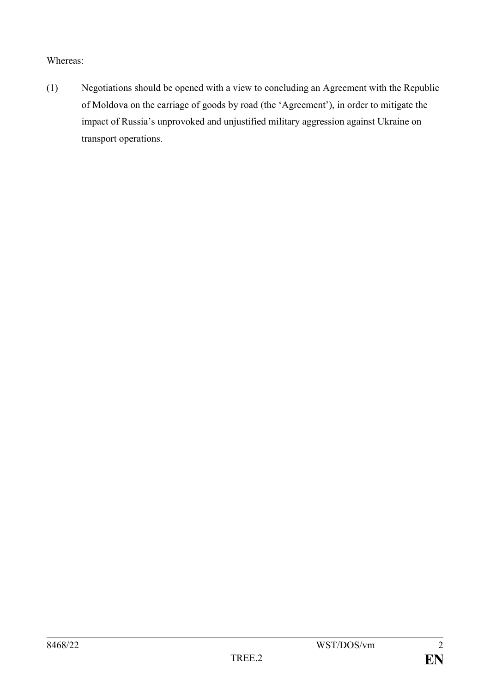Whereas:

(1) Negotiations should be opened with a view to concluding an Agreement with the Republic of Moldova on the carriage of goods by road (the 'Agreement'), in order to mitigate the impact of Russia's unprovoked and unjustified military aggression against Ukraine on transport operations.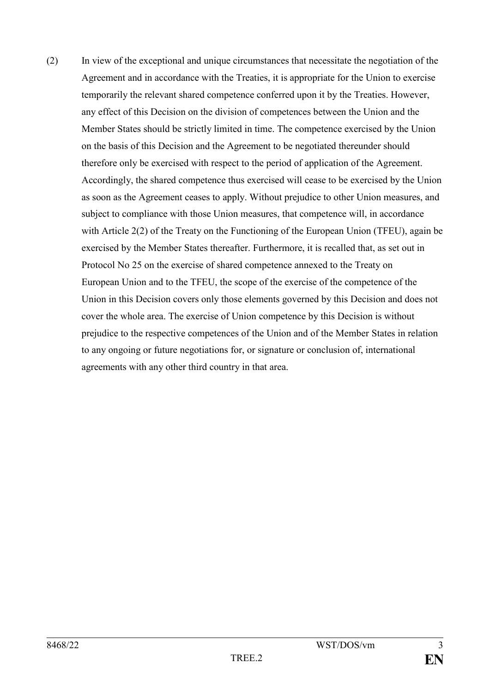(2) In view of the exceptional and unique circumstances that necessitate the negotiation of the Agreement and in accordance with the Treaties, it is appropriate for the Union to exercise temporarily the relevant shared competence conferred upon it by the Treaties. However, any effect of this Decision on the division of competences between the Union and the Member States should be strictly limited in time. The competence exercised by the Union on the basis of this Decision and the Agreement to be negotiated thereunder should therefore only be exercised with respect to the period of application of the Agreement. Accordingly, the shared competence thus exercised will cease to be exercised by the Union as soon as the Agreement ceases to apply. Without prejudice to other Union measures, and subject to compliance with those Union measures, that competence will, in accordance with Article 2(2) of the Treaty on the Functioning of the European Union (TFEU), again be exercised by the Member States thereafter. Furthermore, it is recalled that, as set out in Protocol No 25 on the exercise of shared competence annexed to the Treaty on European Union and to the TFEU, the scope of the exercise of the competence of the Union in this Decision covers only those elements governed by this Decision and does not cover the whole area. The exercise of Union competence by this Decision is without prejudice to the respective competences of the Union and of the Member States in relation to any ongoing or future negotiations for, or signature or conclusion of, international agreements with any other third country in that area.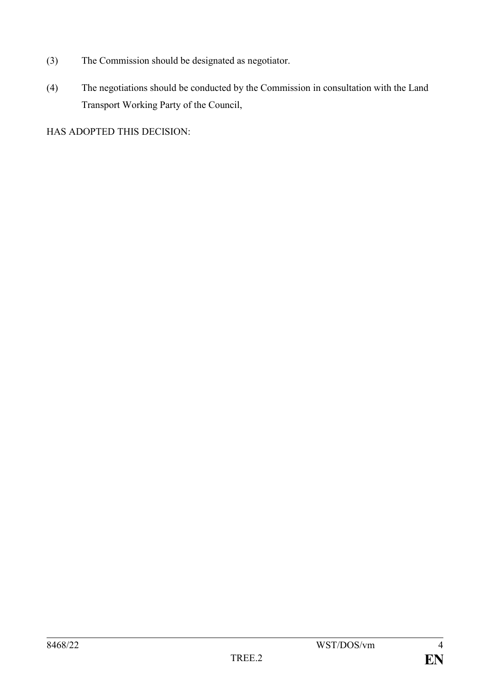- (3) The Commission should be designated as negotiator.
- (4) The negotiations should be conducted by the Commission in consultation with the Land Transport Working Party of the Council,

HAS ADOPTED THIS DECISION: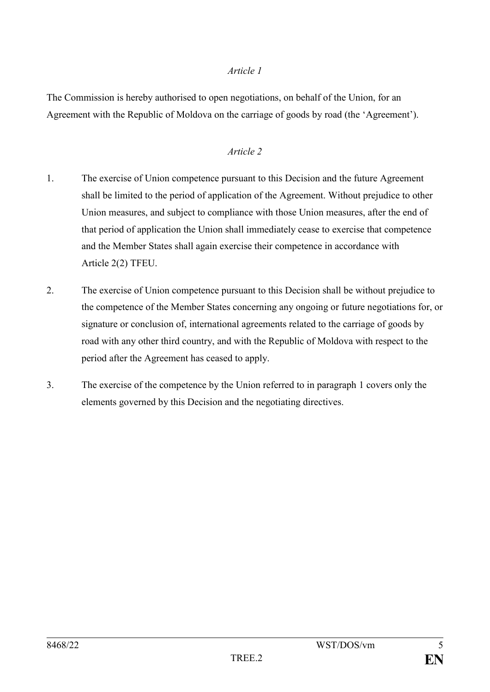#### *Article 1*

The Commission is hereby authorised to open negotiations, on behalf of the Union, for an Agreement with the Republic of Moldova on the carriage of goods by road (the 'Agreement').

### *Article 2*

- 1. The exercise of Union competence pursuant to this Decision and the future Agreement shall be limited to the period of application of the Agreement. Without prejudice to other Union measures, and subject to compliance with those Union measures, after the end of that period of application the Union shall immediately cease to exercise that competence and the Member States shall again exercise their competence in accordance with Article 2(2) TFEU.
- 2. The exercise of Union competence pursuant to this Decision shall be without prejudice to the competence of the Member States concerning any ongoing or future negotiations for, or signature or conclusion of, international agreements related to the carriage of goods by road with any other third country, and with the Republic of Moldova with respect to the period after the Agreement has ceased to apply.
- 3. The exercise of the competence by the Union referred to in paragraph 1 covers only the elements governed by this Decision and the negotiating directives.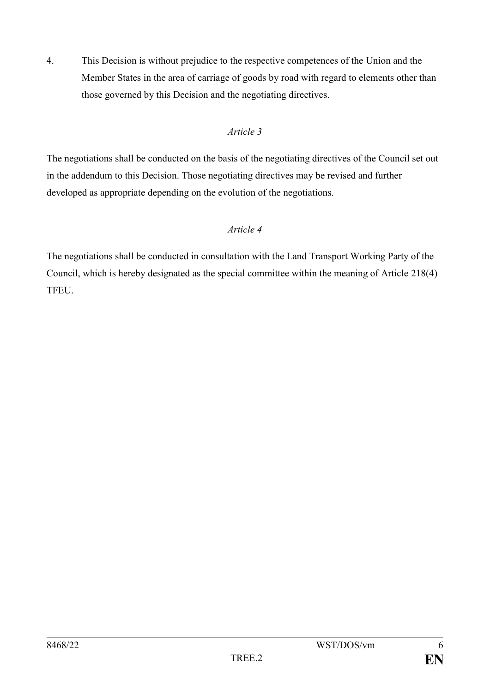4. This Decision is without prejudice to the respective competences of the Union and the Member States in the area of carriage of goods by road with regard to elements other than those governed by this Decision and the negotiating directives.

## *Article 3*

The negotiations shall be conducted on the basis of the negotiating directives of the Council set out in the addendum to this Decision. Those negotiating directives may be revised and further developed as appropriate depending on the evolution of the negotiations.

## *Article 4*

The negotiations shall be conducted in consultation with the Land Transport Working Party of the Council, which is hereby designated as the special committee within the meaning of Article 218(4) TFEU.